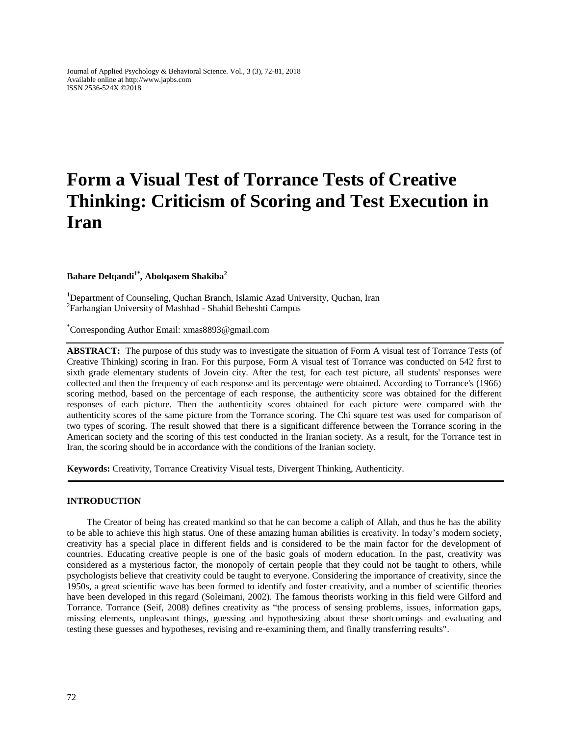Journal of Applied Psychology & Behavioral Science. Vol., 3 (3), 72-81, 2018 Available online at http://www.japbs.com ISSN 2536-524X ©2018

# **Form a Visual Test of Torrance Tests of Creative Thinking: Criticism of Scoring and Test Execution in Iran**

**Bahare Delqandi1\* , Abolqasem Shakiba<sup>2</sup>**

<sup>1</sup>Department of Counseling, Quchan Branch, Islamic Azad University, Quchan, Iran 2 Farhangian University of Mashhad - Shahid Beheshti Campus

\*Corresponding Author Email: xmas8893@gmail.com

**ABSTRACT:** The purpose of this study was to investigate the situation of Form A visual test of Torrance Tests (of Creative Thinking) scoring in Iran. For this purpose, Form A visual test of Torrance was conducted on 542 first to sixth grade elementary students of Jovein city. After the test, for each test picture, all students' responses were collected and then the frequency of each response and its percentage were obtained. According to Torrance's (1966) scoring method, based on the percentage of each response, the authenticity score was obtained for the different responses of each picture. Then the authenticity scores obtained for each picture were compared with the authenticity scores of the same picture from the Torrance scoring. The Chi square test was used for comparison of two types of scoring. The result showed that there is a significant difference between the Torrance scoring in the American society and the scoring of this test conducted in the Iranian society. As a result, for the Torrance test in Iran, the scoring should be in accordance with the conditions of the Iranian society.

**Keywords:** Creativity, Torrance Creativity Visual tests, Divergent Thinking, Authenticity.

### **INTRODUCTION**

The Creator of being has created mankind so that he can become a caliph of Allah, and thus he has the ability to be able to achieve this high status. One of these amazing human abilities is creativity. In today's modern society, creativity has a special place in different fields and is considered to be the main factor for the development of countries. Educating creative people is one of the basic goals of modern education. In the past, creativity was considered as a mysterious factor, the monopoly of certain people that they could not be taught to others, while psychologists believe that creativity could be taught to everyone. Considering the importance of creativity, since the 1950s, a great scientific wave has been formed to identify and foster creativity, and a number of scientific theories have been developed in this regard (Soleimani, 2002). The famous theorists working in this field were Gilford and Torrance. Torrance (Seif, 2008) defines creativity as "the process of sensing problems, issues, information gaps, missing elements, unpleasant things, guessing and hypothesizing about these shortcomings and evaluating and testing these guesses and hypotheses, revising and re-examining them, and finally transferring results".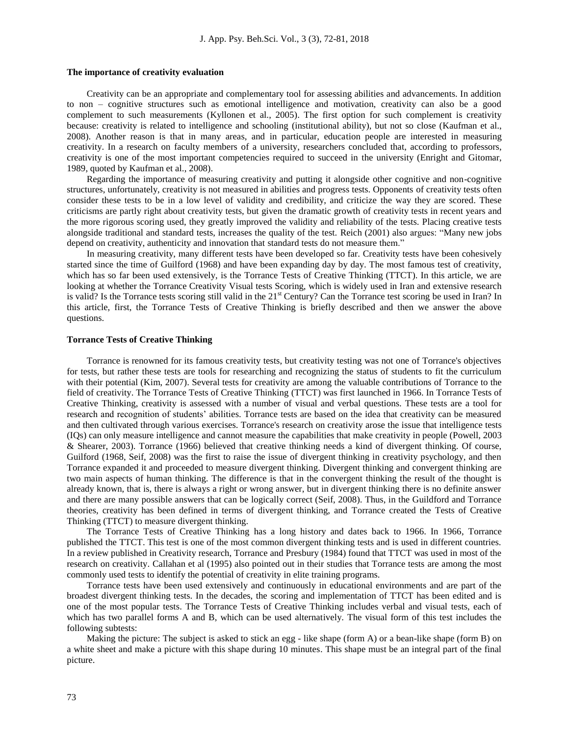#### **The importance of creativity evaluation**

Creativity can be an appropriate and complementary tool for assessing abilities and advancements. In addition to non – cognitive structures such as emotional intelligence and motivation, creativity can also be a good complement to such measurements (Kyllonen et al., 2005). The first option for such complement is creativity because: creativity is related to intelligence and schooling (institutional ability), but not so close (Kaufman et al., 2008). Another reason is that in many areas, and in particular, education people are interested in measuring creativity. In a research on faculty members of a university, researchers concluded that, according to professors, creativity is one of the most important competencies required to succeed in the university (Enright and Gitomar, 1989, quoted by Kaufman et al., 2008).

Regarding the importance of measuring creativity and putting it alongside other cognitive and non-cognitive structures, unfortunately, creativity is not measured in abilities and progress tests. Opponents of creativity tests often consider these tests to be in a low level of validity and credibility, and criticize the way they are scored. These criticisms are partly right about creativity tests, but given the dramatic growth of creativity tests in recent years and the more rigorous scoring used, they greatly improved the validity and reliability of the tests. Placing creative tests alongside traditional and standard tests, increases the quality of the test. Reich (2001) also argues: "Many new jobs depend on creativity, authenticity and innovation that standard tests do not measure them."

In measuring creativity, many different tests have been developed so far. Creativity tests have been cohesively started since the time of Guilford (1968) and have been expanding day by day. The most famous test of creativity, which has so far been used extensively, is the Torrance Tests of Creative Thinking (TTCT). In this article, we are looking at whether the Torrance Creativity Visual tests Scoring, which is widely used in Iran and extensive research is valid? Is the Torrance tests scoring still valid in the  $21<sup>st</sup>$  Century? Can the Torrance test scoring be used in Iran? In this article, first, the Torrance Tests of Creative Thinking is briefly described and then we answer the above questions.

#### **Torrance Tests of Creative Thinking**

Torrance is renowned for its famous creativity tests, but creativity testing was not one of Torrance's objectives for tests, but rather these tests are tools for researching and recognizing the status of students to fit the curriculum with their potential (Kim, 2007). Several tests for creativity are among the valuable contributions of Torrance to the field of creativity. The Torrance Tests of Creative Thinking (TTCT) was first launched in 1966. In Torrance Tests of Creative Thinking, creativity is assessed with a number of visual and verbal questions. These tests are a tool for research and recognition of students' abilities. Torrance tests are based on the idea that creativity can be measured and then cultivated through various exercises. Torrance's research on creativity arose the issue that intelligence tests (IQs) can only measure intelligence and cannot measure the capabilities that make creativity in people (Powell, 2003 & Shearer, 2003). Torrance (1966) believed that creative thinking needs a kind of divergent thinking. Of course, Guilford (1968, Seif, 2008) was the first to raise the issue of divergent thinking in creativity psychology, and then Torrance expanded it and proceeded to measure divergent thinking. Divergent thinking and convergent thinking are two main aspects of human thinking. The difference is that in the convergent thinking the result of the thought is already known, that is, there is always a right or wrong answer, but in divergent thinking there is no definite answer and there are many possible answers that can be logically correct (Seif, 2008). Thus, in the Guildford and Torrance theories, creativity has been defined in terms of divergent thinking, and Torrance created the Tests of Creative Thinking (TTCT) to measure divergent thinking.

The Torrance Tests of Creative Thinking has a long history and dates back to 1966. In 1966, Torrance published the TTCT. This test is one of the most common divergent thinking tests and is used in different countries. In a review published in Creativity research, Torrance and Presbury (1984) found that TTCT was used in most of the research on creativity. Callahan et al (1995) also pointed out in their studies that Torrance tests are among the most commonly used tests to identify the potential of creativity in elite training programs.

Torrance tests have been used extensively and continuously in educational environments and are part of the broadest divergent thinking tests. In the decades, the scoring and implementation of TTCT has been edited and is one of the most popular tests. The Torrance Tests of Creative Thinking includes verbal and visual tests, each of which has two parallel forms A and B, which can be used alternatively. The visual form of this test includes the following subtests:

Making the picture: The subject is asked to stick an egg - like shape (form A) or a bean-like shape (form B) on a white sheet and make a picture with this shape during 10 minutes. This shape must be an integral part of the final picture.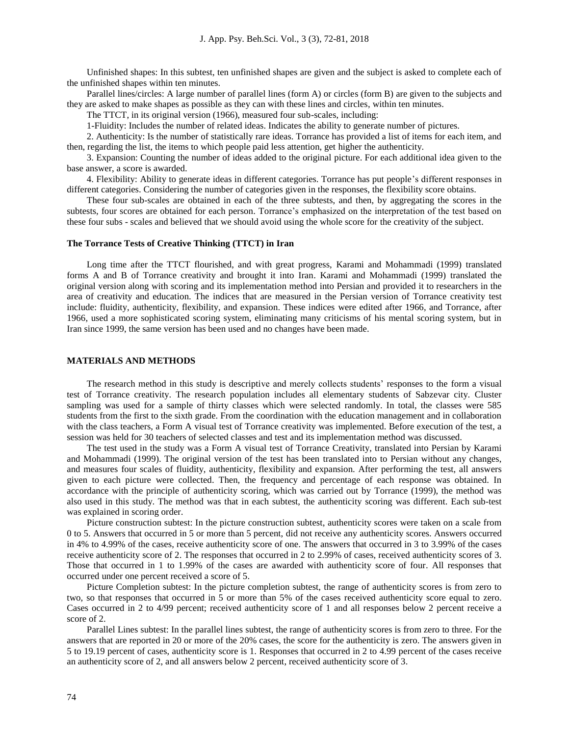Unfinished shapes: In this subtest, ten unfinished shapes are given and the subject is asked to complete each of the unfinished shapes within ten minutes.

Parallel lines/circles: A large number of parallel lines (form A) or circles (form B) are given to the subjects and they are asked to make shapes as possible as they can with these lines and circles, within ten minutes.

The TTCT, in its original version (1966), measured four sub-scales, including:

1-Fluidity: Includes the number of related ideas. Indicates the ability to generate number of pictures.

2. Authenticity: Is the number of statistically rare ideas. Torrance has provided a list of items for each item, and then, regarding the list, the items to which people paid less attention, get higher the authenticity.

3. Expansion: Counting the number of ideas added to the original picture. For each additional idea given to the base answer, a score is awarded.

4. Flexibility: Ability to generate ideas in different categories. Torrance has put people's different responses in different categories. Considering the number of categories given in the responses, the flexibility score obtains.

These four sub-scales are obtained in each of the three subtests, and then, by aggregating the scores in the subtests, four scores are obtained for each person. Torrance's emphasized on the interpretation of the test based on these four subs - scales and believed that we should avoid using the whole score for the creativity of the subject.

#### **The Torrance Tests of Creative Thinking (TTCT) in Iran**

Long time after the TTCT flourished, and with great progress, Karami and Mohammadi (1999) translated forms A and B of Torrance creativity and brought it into Iran. Karami and Mohammadi (1999) translated the original version along with scoring and its implementation method into Persian and provided it to researchers in the area of creativity and education. The indices that are measured in the Persian version of Torrance creativity test include: fluidity, authenticity, flexibility, and expansion. These indices were edited after 1966, and Torrance, after 1966, used a more sophisticated scoring system, eliminating many criticisms of his mental scoring system, but in Iran since 1999, the same version has been used and no changes have been made.

#### **MATERIALS AND METHODS**

The research method in this study is descriptive and merely collects students' responses to the form a visual test of Torrance creativity. The research population includes all elementary students of Sabzevar city. Cluster sampling was used for a sample of thirty classes which were selected randomly. In total, the classes were 585 students from the first to the sixth grade. From the coordination with the education management and in collaboration with the class teachers, a Form A visual test of Torrance creativity was implemented. Before execution of the test, a session was held for 30 teachers of selected classes and test and its implementation method was discussed.

The test used in the study was a Form A visual test of Torrance Creativity, translated into Persian by Karami and Mohammadi (1999). The original version of the test has been translated into to Persian without any changes, and measures four scales of fluidity, authenticity, flexibility and expansion. After performing the test, all answers given to each picture were collected. Then, the frequency and percentage of each response was obtained. In accordance with the principle of authenticity scoring, which was carried out by Torrance (1999), the method was also used in this study. The method was that in each subtest, the authenticity scoring was different. Each sub-test was explained in scoring order.

Picture construction subtest: In the picture construction subtest, authenticity scores were taken on a scale from 0 to 5. Answers that occurred in 5 or more than 5 percent, did not receive any authenticity scores. Answers occurred in 4% to 4.99% of the cases, receive authenticity score of one. The answers that occurred in 3 to 3.99% of the cases receive authenticity score of 2. The responses that occurred in 2 to 2.99% of cases, received authenticity scores of 3. Those that occurred in 1 to 1.99% of the cases are awarded with authenticity score of four. All responses that occurred under one percent received a score of 5.

Picture Completion subtest: In the picture completion subtest, the range of authenticity scores is from zero to two, so that responses that occurred in 5 or more than 5% of the cases received authenticity score equal to zero. Cases occurred in 2 to 4/99 percent; received authenticity score of 1 and all responses below 2 percent receive a score of 2.

Parallel Lines subtest: In the parallel lines subtest, the range of authenticity scores is from zero to three. For the answers that are reported in 20 or more of the 20% cases, the score for the authenticity is zero. The answers given in 5 to 19.19 percent of cases, authenticity score is 1. Responses that occurred in 2 to 4.99 percent of the cases receive an authenticity score of 2, and all answers below 2 percent, received authenticity score of 3.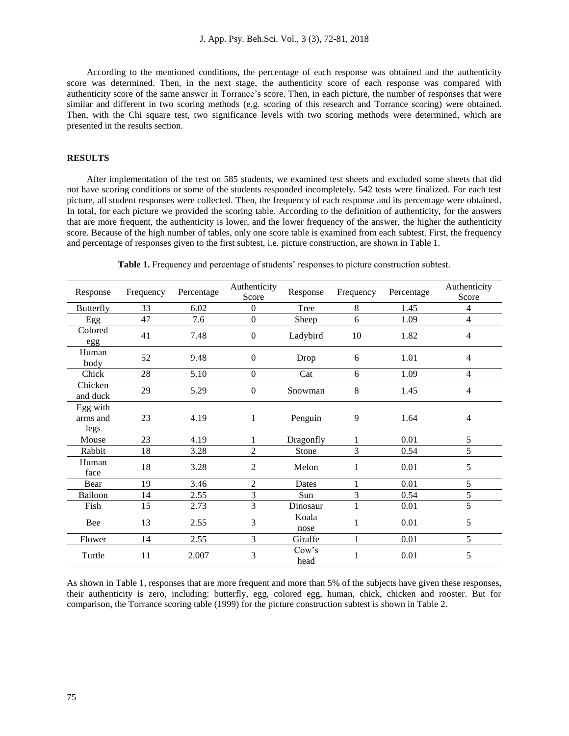According to the mentioned conditions, the percentage of each response was obtained and the authenticity score was determined. Then, in the next stage, the authenticity score of each response was compared with authenticity score of the same answer in Torrance's score. Then, in each picture, the number of responses that were similar and different in two scoring methods (e.g. scoring of this research and Torrance scoring) were obtained. Then, with the Chi square test, two significance levels with two scoring methods were determined, which are presented in the results section.

## **RESULTS**

After implementation of the test on 585 students, we examined test sheets and excluded some sheets that did not have scoring conditions or some of the students responded incompletely. 542 tests were finalized. For each test picture, all student responses were collected. Then, the frequency of each response and its percentage were obtained. In total, for each picture we provided the scoring table. According to the definition of authenticity, for the answers that are more frequent, the authenticity is lower, and the lower frequency of the answer, the higher the authenticity score. Because of the high number of tables, only one score table is examined from each subtest. First, the frequency and percentage of responses given to the first subtest, i.e. picture construction, are shown in Table 1.

| Response                     | Frequency       | Percentage | Authenticity<br>Score | Response      | Frequency    | Percentage | Authenticity<br>Score |
|------------------------------|-----------------|------------|-----------------------|---------------|--------------|------------|-----------------------|
| Butterfly                    | 33              | 6.02       | $\boldsymbol{0}$      | Tree          | 8            | 1.45       | $\overline{4}$        |
| Egg                          | $\overline{47}$ | 7.6        | $\boldsymbol{0}$      | Sheep         | 6            | 1.09       | $\overline{4}$        |
| Colored<br>egg               | 41              | 7.48       | $\boldsymbol{0}$      | Ladybird      | 10           | 1.82       | $\overline{4}$        |
| Human<br>body                | 52              | 9.48       | $\boldsymbol{0}$      | Drop          | 6            | 1.01       | $\overline{4}$        |
| Chick                        | 28              | 5.10       | $\boldsymbol{0}$      | Cat           | 6            | 1.09       | $\overline{4}$        |
| Chicken<br>and duck          | 29              | 5.29       | $\boldsymbol{0}$      | Snowman       | $\,8$        | 1.45       | $\overline{4}$        |
| Egg with<br>arms and<br>legs | 23              | 4.19       | $\mathbf{1}$          | Penguin       | 9            | 1.64       | $\overline{4}$        |
| Mouse                        | 23              | 4.19       | 1                     | Dragonfly     |              | 0.01       | 5                     |
| Rabbit                       | 18              | 3.28       | $\overline{2}$        | Stone         | 3            | 0.54       | 5                     |
| Human<br>face                | 18              | 3.28       | $\overline{2}$        | Melon         | 1            | 0.01       | 5                     |
| Bear                         | 19              | 3.46       | $\overline{2}$        | Dates         |              | 0.01       | 5                     |
| Balloon                      | 14              | 2.55       | 3                     | Sun           | 3            | 0.54       | 5                     |
| Fish                         | 15              | 2.73       | $\overline{3}$        | Dinosaur      | $\mathbf{1}$ | 0.01       | 5                     |
| Bee                          | 13              | 2.55       | 3                     | Koala<br>nose | 1            | 0.01       | 5                     |
| Flower                       | 14              | 2.55       | 3                     | Giraffe       | $\mathbf 1$  | 0.01       | 5                     |
| Turtle                       | 11              | 2.007      | 3                     | Cow's<br>head | 1            | 0.01       | 5                     |

**Table 1.** Frequency and percentage of students' responses to picture construction subtest.

As shown in Table 1, responses that are more frequent and more than 5% of the subjects have given these responses, their authenticity is zero, including: butterfly, egg, colored egg, human, chick, chicken and rooster. But for comparison, the Torrance scoring table (1999) for the picture construction subtest is shown in Table 2.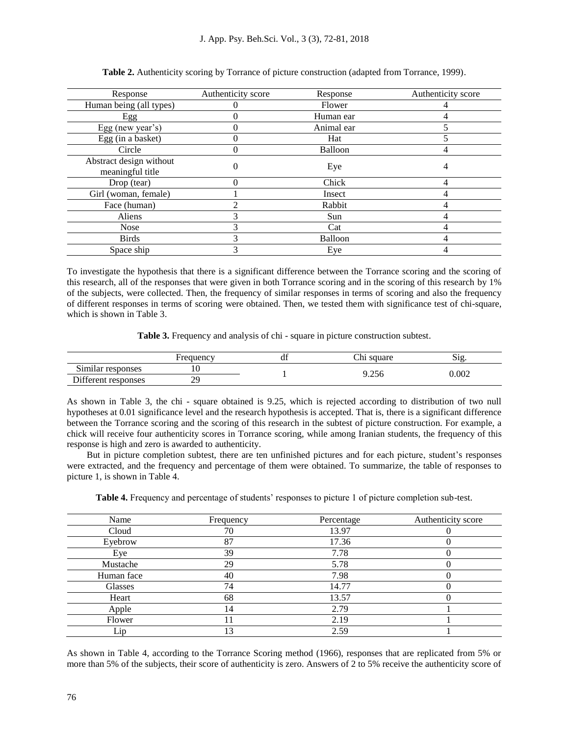| Response                                    | Authenticity score | Response       | Authenticity score |
|---------------------------------------------|--------------------|----------------|--------------------|
| Human being (all types)                     |                    | Flower         |                    |
| Egg                                         |                    | Human ear      |                    |
| Egg (new year's)                            |                    | Animal ear     |                    |
| Egg (in a basket)                           |                    | Hat            |                    |
| Circle                                      |                    | Balloon        |                    |
| Abstract design without<br>meaningful title |                    | Eye            |                    |
| Drop (tear)                                 |                    | Chick          |                    |
| Girl (woman, female)                        |                    | Insect         |                    |
| Face (human)                                |                    | Rabbit         |                    |
| Aliens                                      |                    | Sun            |                    |
| <b>Nose</b>                                 |                    | Cat            |                    |
| <b>Birds</b>                                |                    | <b>Balloon</b> |                    |
| Space ship                                  |                    | Eye            |                    |

**Table 2.** Authenticity scoring by Torrance of picture construction (adapted from Torrance, 1999).

To investigate the hypothesis that there is a significant difference between the Torrance scoring and the scoring of this research, all of the responses that were given in both Torrance scoring and in the scoring of this research by 1% of the subjects, were collected. Then, the frequency of similar responses in terms of scoring and also the frequency of different responses in terms of scoring were obtained. Then, we tested them with significance test of chi-square, which is shown in Table 3.

**Table 3.** Frequency and analysis of chi - square in picture construction subtest.

|                                             | Frequency | ai | $\sim$<br>$\mathop{\cup}$ ni<br>square | $\mathbf{S12}$ |
|---------------------------------------------|-----------|----|----------------------------------------|----------------|
| $\sim$<br>$^{\bullet}$<br>Similar responses |           |    |                                        |                |
| Different responses                         | 29        |    | 1.256                                  | 0.002          |

As shown in Table 3, the chi - square obtained is 9.25, which is rejected according to distribution of two null hypotheses at 0.01 significance level and the research hypothesis is accepted. That is, there is a significant difference between the Torrance scoring and the scoring of this research in the subtest of picture construction. For example, a chick will receive four authenticity scores in Torrance scoring, while among Iranian students, the frequency of this response is high and zero is awarded to authenticity.

But in picture completion subtest, there are ten unfinished pictures and for each picture, student's responses were extracted, and the frequency and percentage of them were obtained. To summarize, the table of responses to picture 1, is shown in Table 4.

**Table 4.** Frequency and percentage of students' responses to picture 1 of picture completion sub-test.

| Name       | Frequency | Percentage | Authenticity score |
|------------|-----------|------------|--------------------|
| Cloud      | 70        | 13.97      |                    |
| Eyebrow    | 87        | 17.36      |                    |
| Eye        | 39        | 7.78       |                    |
| Mustache   | 29        | 5.78       |                    |
| Human face | 40        | 7.98       |                    |
| Glasses    | 74        | 14.77      |                    |
| Heart      | 68        | 13.57      |                    |
| Apple      | 14        | 2.79       |                    |
| Flower     |           | 2.19       |                    |
| Lip        | 13        | 2.59       |                    |

As shown in Table 4, according to the Torrance Scoring method (1966), responses that are replicated from 5% or more than 5% of the subjects, their score of authenticity is zero. Answers of 2 to 5% receive the authenticity score of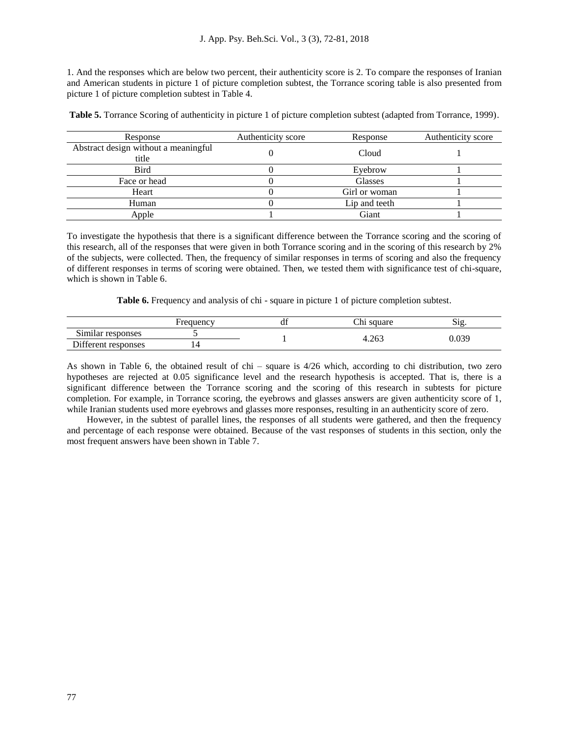1. And the responses which are below two percent, their authenticity score is 2. To compare the responses of Iranian and American students in picture 1 of picture completion subtest, the Torrance scoring table is also presented from picture 1 of picture completion subtest in Table 4.

**Table 5.** Torrance Scoring of authenticity in picture 1 of picture completion subtest (adapted from Torrance, 1999).

| Response                                      | Authenticity score | Response      | Authenticity score |
|-----------------------------------------------|--------------------|---------------|--------------------|
| Abstract design without a meaningful<br>title |                    | Cloud         |                    |
| <b>Bird</b>                                   |                    | Eyebrow       |                    |
| Face or head                                  |                    | Glasses       |                    |
| Heart                                         |                    | Girl or woman |                    |
| Human                                         |                    | Lip and teeth |                    |
| Apple                                         |                    | Giant         |                    |

To investigate the hypothesis that there is a significant difference between the Torrance scoring and the scoring of this research, all of the responses that were given in both Torrance scoring and in the scoring of this research by 2% of the subjects, were collected. Then, the frequency of similar responses in terms of scoring and also the frequency of different responses in terms of scoring were obtained. Then, we tested them with significance test of chi-square, which is shown in Table 6.

**Table 6.** Frequency and analysis of chi - square in picture 1 of picture completion subtest.

|                                                      | requency | uд | Chı<br>میوررو<br>uaic | ~·<br>$\sim$ 107<br>، ١٤٠ |
|------------------------------------------------------|----------|----|-----------------------|---------------------------|
| $\sim$ .<br>$\cdot$ $\cdot$<br>.51mılar<br>responses |          |    | 4.263                 | . $0.2c$                  |
| $\mathbf{r}$ .<br>terent responses                   | ⊥⊣       |    |                       | บ.บวว                     |

As shown in Table 6, the obtained result of chi – square is 4/26 which, according to chi distribution, two zero hypotheses are rejected at 0.05 significance level and the research hypothesis is accepted. That is, there is a significant difference between the Torrance scoring and the scoring of this research in subtests for picture completion. For example, in Torrance scoring, the eyebrows and glasses answers are given authenticity score of 1, while Iranian students used more eyebrows and glasses more responses, resulting in an authenticity score of zero.

However, in the subtest of parallel lines, the responses of all students were gathered, and then the frequency and percentage of each response were obtained. Because of the vast responses of students in this section, only the most frequent answers have been shown in Table 7.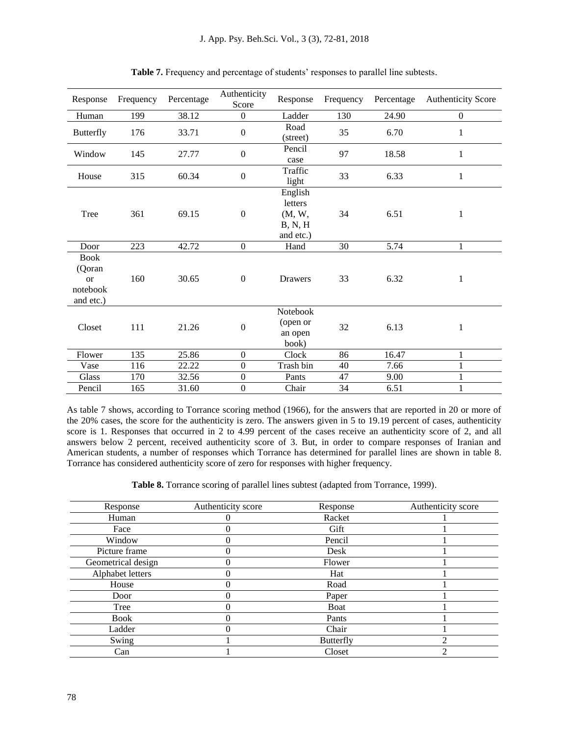| Response                                                        | Frequency | Percentage | Authenticity<br>Score | Response                                             | Frequency | Percentage | <b>Authenticity Score</b> |
|-----------------------------------------------------------------|-----------|------------|-----------------------|------------------------------------------------------|-----------|------------|---------------------------|
| Human                                                           | 199       | 38.12      | $\boldsymbol{0}$      | Ladder                                               | 130       | 24.90      | $\overline{0}$            |
| <b>Butterfly</b>                                                | 176       | 33.71      | $\boldsymbol{0}$      | Road<br>(street)                                     | 35        | 6.70       | 1                         |
| Window                                                          | 145       | 27.77      | $\boldsymbol{0}$      | Pencil<br>case                                       | 97        | 18.58      | $\mathbf{1}$              |
| House                                                           | 315       | 60.34      | $\boldsymbol{0}$      | Traffic<br>light                                     | 33        | 6.33       | 1                         |
| Tree                                                            | 361       | 69.15      | $\boldsymbol{0}$      | English<br>letters<br>(M, W,<br>B, N, H<br>and etc.) | 34        | 6.51       | 1                         |
| Door                                                            | 223       | 42.72      | $\boldsymbol{0}$      | Hand                                                 | 30        | 5.74       | $\mathbf{1}$              |
| <b>Book</b><br>(Qoran<br><sub>or</sub><br>notebook<br>and etc.) | 160       | 30.65      | $\boldsymbol{0}$      | Drawers                                              | 33        | 6.32       | 1                         |
| Closet                                                          | 111       | 21.26      | $\boldsymbol{0}$      | Notebook<br>(open or<br>an open<br>book)             | 32        | 6.13       | 1                         |
| Flower                                                          | 135       | 25.86      | $\boldsymbol{0}$      | Clock                                                | 86        | 16.47      | 1                         |
| Vase                                                            | 116       | 22.22      | $\boldsymbol{0}$      | Trash bin                                            | 40        | 7.66       | 1                         |
| Glass                                                           | 170       | 32.56      | $\boldsymbol{0}$      | Pants                                                | 47        | 9.00       | $\mathbf{1}$              |
| Pencil                                                          | 165       | 31.60      | $\boldsymbol{0}$      | Chair                                                | 34        | 6.51       | 1                         |

**Table 7.** Frequency and percentage of students' responses to parallel line subtests.

As table 7 shows, according to Torrance scoring method (1966), for the answers that are reported in 20 or more of the 20% cases, the score for the authenticity is zero. The answers given in 5 to 19.19 percent of cases, authenticity score is 1. Responses that occurred in 2 to 4.99 percent of the cases receive an authenticity score of 2, and all answers below 2 percent, received authenticity score of 3. But, in order to compare responses of Iranian and American students, a number of responses which Torrance has determined for parallel lines are shown in table 8. Torrance has considered authenticity score of zero for responses with higher frequency.

**Table 8.** Torrance scoring of parallel lines subtest (adapted from Torrance, 1999).

| Response           | Authenticity score | Response         | Authenticity score |
|--------------------|--------------------|------------------|--------------------|
| Human              |                    | Racket           |                    |
| Face               |                    | Gift             |                    |
| Window             |                    | Pencil           |                    |
| Picture frame      |                    | Desk             |                    |
| Geometrical design |                    | Flower           |                    |
| Alphabet letters   |                    | Hat              |                    |
| House              |                    | Road             |                    |
| Door               |                    | Paper            |                    |
| Tree               |                    | Boat             |                    |
| <b>Book</b>        |                    | Pants            |                    |
| Ladder             |                    | Chair            |                    |
| Swing              |                    | <b>Butterfly</b> |                    |
| Can                |                    | Closet           | ◠                  |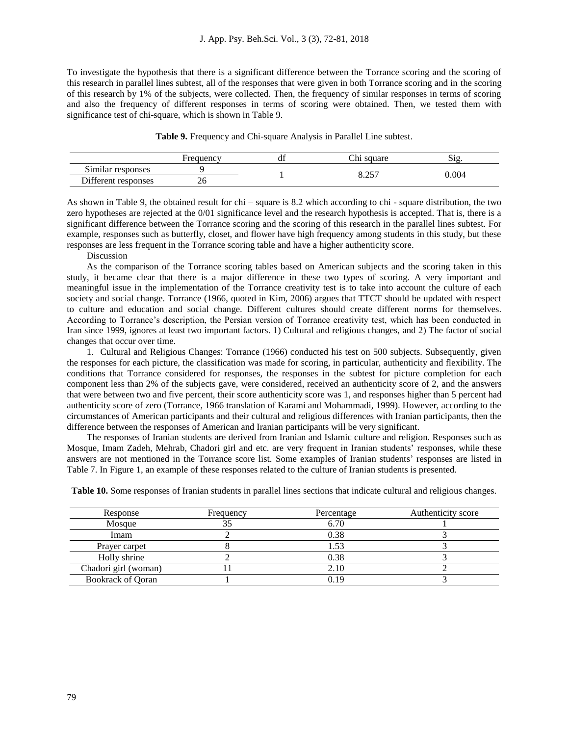To investigate the hypothesis that there is a significant difference between the Torrance scoring and the scoring of this research in parallel lines subtest, all of the responses that were given in both Torrance scoring and in the scoring of this research by 1% of the subjects, were collected. Then, the frequency of similar responses in terms of scoring and also the frequency of different responses in terms of scoring were obtained. Then, we tested them with significance test of chi-square, which is shown in Table 9.

**Table 9.** Frequency and Chi-square Analysis in Parallel Line subtest.

|                     | Frequency | u | Chi<br>square | $\sim$<br>512 |
|---------------------|-----------|---|---------------|---------------|
| Similar responses   |           |   | 0.757         | 0.004         |
| Different responses | ZU        |   | 0.ZJ          |               |

As shown in Table 9, the obtained result for chi – square is 8.2 which according to chi - square distribution, the two zero hypotheses are rejected at the 0/01 significance level and the research hypothesis is accepted. That is, there is a significant difference between the Torrance scoring and the scoring of this research in the parallel lines subtest. For example, responses such as butterfly, closet, and flower have high frequency among students in this study, but these responses are less frequent in the Torrance scoring table and have a higher authenticity score.

#### Discussion

As the comparison of the Torrance scoring tables based on American subjects and the scoring taken in this study, it became clear that there is a major difference in these two types of scoring. A very important and meaningful issue in the implementation of the Torrance creativity test is to take into account the culture of each society and social change. Torrance (1966, quoted in Kim, 2006) argues that TTCT should be updated with respect to culture and education and social change. Different cultures should create different norms for themselves. According to Torrance's description, the Persian version of Torrance creativity test, which has been conducted in Iran since 1999, ignores at least two important factors. 1) Cultural and religious changes, and 2) The factor of social changes that occur over time.

1. Cultural and Religious Changes: Torrance (1966) conducted his test on 500 subjects. Subsequently, given the responses for each picture, the classification was made for scoring, in particular, authenticity and flexibility. The conditions that Torrance considered for responses, the responses in the subtest for picture completion for each component less than 2% of the subjects gave, were considered, received an authenticity score of 2, and the answers that were between two and five percent, their score authenticity score was 1, and responses higher than 5 percent had authenticity score of zero (Torrance, 1966 translation of Karami and Mohammadi, 1999). However, according to the circumstances of American participants and their cultural and religious differences with Iranian participants, then the difference between the responses of American and Iranian participants will be very significant.

The responses of Iranian students are derived from Iranian and Islamic culture and religion. Responses such as Mosque, Imam Zadeh, Mehrab, Chadori girl and etc. are very frequent in Iranian students' responses, while these answers are not mentioned in the Torrance score list. Some examples of Iranian students' responses are listed in Table 7. In Figure 1, an example of these responses related to the culture of Iranian students is presented.

| Response                 | Frequency | Percentage | Authenticity score |
|--------------------------|-----------|------------|--------------------|
| Mosque                   |           | 6.70       |                    |
| Imam                     |           | 0.38       |                    |
| Prayer carpet            |           | .53        |                    |
| Holly shrine             |           | 0.38       |                    |
| Chadori girl (woman)     |           | 2.10       |                    |
| <b>Bookrack of Qoran</b> |           | 0.19       |                    |

**Table 10.** Some responses of Iranian students in parallel lines sections that indicate cultural and religious changes.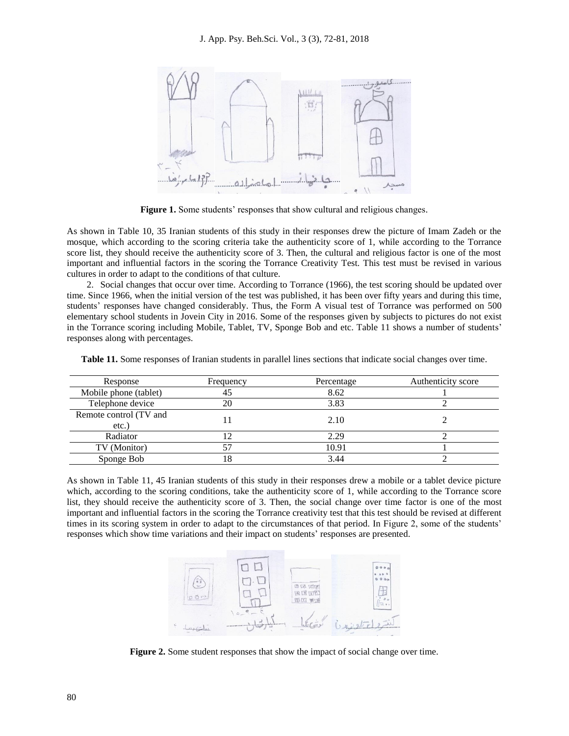

Figure 1. Some students' responses that show cultural and religious changes.

As shown in Table 10, 35 Iranian students of this study in their responses drew the picture of Imam Zadeh or the mosque, which according to the scoring criteria take the authenticity score of 1, while according to the Torrance score list, they should receive the authenticity score of 3. Then, the cultural and religious factor is one of the most important and influential factors in the scoring the Torrance Creativity Test. This test must be revised in various cultures in order to adapt to the conditions of that culture.

2. Social changes that occur over time. According to Torrance (1966), the test scoring should be updated over time. Since 1966, when the initial version of the test was published, it has been over fifty years and during this time, students' responses have changed considerably. Thus, the Form A visual test of Torrance was performed on 500 elementary school students in Jovein City in 2016. Some of the responses given by subjects to pictures do not exist in the Torrance scoring including Mobile, Tablet, TV, Sponge Bob and etc. Table 11 shows a number of students' responses along with percentages.

| Response                           | Frequency | Percentage | Authenticity score |
|------------------------------------|-----------|------------|--------------------|
| Mobile phone (tablet)              |           | 8.62       |                    |
| Telephone device                   | 20        | 3.83       |                    |
| Remote control (TV and<br>$etc.$ ) |           | 2.10       |                    |
| Radiator                           |           | 2.29       |                    |
| TV (Monitor)                       |           | 10.91      |                    |
| Sponge Bob                         | 8         | 3.44       |                    |

**Table 11.** Some responses of Iranian students in parallel lines sections that indicate social changes over time.

As shown in Table 11, 45 Iranian students of this study in their responses drew a mobile or a tablet device picture which, according to the scoring conditions, take the authenticity score of 1, while according to the Torrance score list, they should receive the authenticity score of 3. Then, the social change over time factor is one of the most important and influential factors in the scoring the Torrance creativity test that this test should be revised at different times in its scoring system in order to adapt to the circumstances of that period. In Figure 2, some of the students' responses which show time variations and their impact on students' responses are presented.



**Figure 2.** Some student responses that show the impact of social change over time.